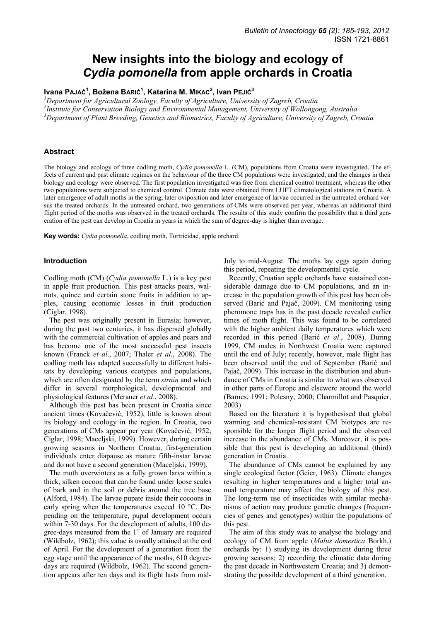# **New insights into the biology and ecology of**  *Cydia pomonella* **from apple orchards in Croatia**

**Ivana PAJAČ<sup>1</sup> , Božena BARIĆ<sup>1</sup> , Katarina M. MIKAC<sup>2</sup> , Ivan PEJIĆ<sup>3</sup>**

*1 Department for Agricultural Zoology, Faculty of Agriculture, University of Zagreb, Croatia 2 Institute for Conservation Biology and Environmental Management, University of Wollongong, Australia* 

*3 Department of Plant Breeding, Genetics and Biometrics, Faculty of Agriculture, University of Zagreb, Croatia* 

## **Abstract**

The biology and ecology of three codling moth, *Cydia pomonella* L. (CM), populations from Croatia were investigated. The effects of current and past climate regimes on the behaviour of the three CM populations were investigated, and the changes in their biology and ecology were observed. The first population investigated was free from chemical control treatment, whereas the other two populations were subjected to chemical control. Climate data were obtained from LUFT climatological stations in Croatia. A later emergence of adult moths in the spring, later oviposition and later emergence of larvae occurred in the untreated orchard versus the treated orchards. In the untreated orchard, two generations of CMs were observed per year, whereas an additional third flight period of the moths was observed in the treated orchards. The results of this study confirm the possibility that a third generation of the pest can develop in Croatia in years in which the sum of degree-day is higher than average.

**Key words:** *Cydia pomonella*, codling moth, Tortricidae, apple orchard.

## **Introduction**

Codling moth (CM) (*Cydia pomonella* L.) is a key pest in apple fruit production. This pest attacks pears, walnuts, quince and certain stone fruits in addition to apples, causing economic losses in fruit production (Ciglar, 1998).

The pest was originally present in Eurasia; however, during the past two centuries, it has dispersed globally with the commercial cultivation of apples and pears and has become one of the most successful pest insects known (Franck *et al*., 2007; Thaler *et al*., 2008). The codling moth has adapted successfully to different habitats by developing various ecotypes and populations, which are often designated by the term *strain* and which differ in several morphological, developmental and physiological features (Meraner *et al*., 2008).

Although this pest has been present in Croatia since ancient times (Kovačević, 1952), little is known about its biology and ecology in the region. In Croatia, two generations of CMs appear per year (Kovačević, 1952; Ciglar, 1998; Maceljski, 1999). However, during certain growing seasons in Northern Croatia, first-generation individuals enter diapause as mature fifth-instar larvae and do not have a second generation (Maceljski, 1999).

The moth overwinters as a fully grown larva within a thick, silken cocoon that can be found under loose scales of bark and in the soil or debris around the tree base (Alford, 1984). The larvae pupate inside their cocoons in early spring when the temperatures exceed 10 °C. Depending on the temperature, pupal development occurs within 7-30 days. For the development of adults, 100 degree-days measured from the  $1<sup>st</sup>$  of January are required (Wildbolz, 1962); this value is usually attained at the end of April. For the development of a generation from the egg stage until the appearance of the moths, 610 degreedays are required (Wildbolz, 1962). The second generation appears after ten days and its flight lasts from midJuly to mid-August. The moths lay eggs again during this period, repeating the developmental cycle.

Recently, Croatian apple orchards have sustained considerable damage due to CM populations, and an increase in the population growth of this pest has been observed (Barić and Pajač, 2009). CM monitoring using pheromone traps has in the past decade revealed earlier times of moth flight. This was found to be correlated with the higher ambient daily temperatures which were recorded in this period (Barić *et al*., 2008). During 1999, CM males in Northwest Croatia were captured until the end of July; recently, however, male flight has been observed until the end of September (Barić and Pajač, 2009). This increase in the distribution and abundance of CMs in Croatia is similar to what was observed in other parts of Europe and elsewere around the world (Barnes, 1991; Polesny, 2000; Charmillot and Pasquier, 2003)

Based on the literature it is hypothesised that global warming and chemical-resistant CM biotypes are responsible for the longer flight period and the observed increase in the abundance of CMs. Moreover, it is possible that this pest is developing an additional (third) generation in Croatia.

The abundance of CMs cannot be explained by any single ecological factor (Geier, 1963). Climate changes resulting in higher temperatures and a higher total annual temperature may affect the biology of this pest. The long-term use of insecticides with similar mechanisms of action may produce genetic changes (frequencies of genes and genotypes) within the populations of this pest.

The aim of this study was to analyse the biology and ecology of CM from apple (*Malus domestica* Borkh.) orchards by: 1) studying its development during three growing seasons; 2) recording the climatic data during the past decade in Northwestern Croatia; and 3) demonstrating the possible development of a third generation.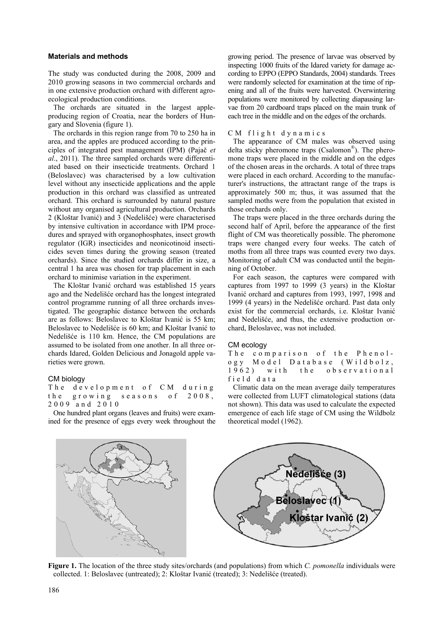## **Materials and methods**

The study was conducted during the 2008, 2009 and 2010 growing seasons in two commercial orchards and in one extensive production orchard with different agroecological production conditions.

The orchards are situated in the largest appleproducing region of Croatia, near the borders of Hungary and Slovenia (figure 1).

The orchards in this region range from 70 to 250 ha in area, and the apples are produced according to the principles of integrated pest management (IPM) (Pajač *et al*., 2011). The three sampled orchards were differentiated based on their insecticide treatments. Orchard 1 (Beloslavec) was characterised by a low cultivation level without any insecticide applications and the apple production in this orchard was classified as untreated orchard. This orchard is surrounded by natural pasture without any organised agricultural production. Orchards 2 (Kloštar Ivanić) and 3 (Nedelišće) were characterised by intensive cultivation in accordance with IPM procedures and sprayed with organophosphates, insect growth regulator (IGR) insecticides and neonicotinoid insecticides seven times during the growing season (treated orchards). Since the studied orchards differ in size, a central 1 ha area was chosen for trap placement in each orchard to minimise variation in the experiment.

The Kloštar Ivanić orchard was established 15 years ago and the Nedelišće orchard has the longest integrated control programme running of all three orchards investigated. The geographic distance between the orchards are as follows: Beloslavec to Kloštar Ivanić is 55 km; Beloslavec to Nedelišće is 60 km; and Kloštar Ivanić to Nedelišće is 110 km. Hence, the CM populations are assumed to be isolated from one another. In all three orchards Idared, Golden Delicious and Jonagold apple varieties were grown.

## CM biology

The development of CM during the growing seasons of 2008, 2009 and 2010

One hundred plant organs (leaves and fruits) were examined for the presence of eggs every week throughout the growing period. The presence of larvae was observed by inspecting 1000 fruits of the Idared variety for damage according to EPPO (EPPO Standards, 2004) standards. Trees were randomly selected for examination at the time of ripening and all of the fruits were harvested. Overwintering populations were monitored by collecting diapausing larvae from 20 cardboard traps placed on the main trunk of each tree in the middle and on the edges of the orchards.

#### CM flight dynamics

The appearance of CM males was observed using delta sticky pheromone traps (Csalomon®). The pheromone traps were placed in the middle and on the edges of the chosen areas in the orchards. A total of three traps were placed in each orchard. According to the manufacturer's instructions, the attractant range of the traps is approximately 500 m; thus, it was assumed that the sampled moths were from the population that existed in those orchards only.

The traps were placed in the three orchards during the second half of April, before the appearance of the first flight of CM was theoretically possible. The pheromone traps were changed every four weeks. The catch of moths from all three traps was counted every two days. Monitoring of adult CM was conducted until the beginning of October.

For each season, the captures were compared with captures from 1997 to 1999 (3 years) in the Kloštar Ivanić orchard and captures from 1993, 1997, 1998 and 1999 (4 years) in the Nedelišće orchard. Past data only exist for the commercial orchards, i.e. Kloštar Ivanić and Nedelišće, and thus, the extensive production orchard, Beloslavec, was not included.

#### CM ecology

The comparison of the Phenology Model Database (Wildbolz, 1962) with the observational field data

Climatic data on the mean average daily temperatures were collected from LUFT climatological stations (data not shown). This data was used to calculate the expected emergence of each life stage of CM using the Wildbolz theoretical model (1962).



**Figure 1.** The location of the three study sites/orchards (and populations) from which *C. pomonella* individuals were collected. 1: Beloslavec (untreated); 2: Kloštar Ivanić (treated); 3: Nedelišće (treated).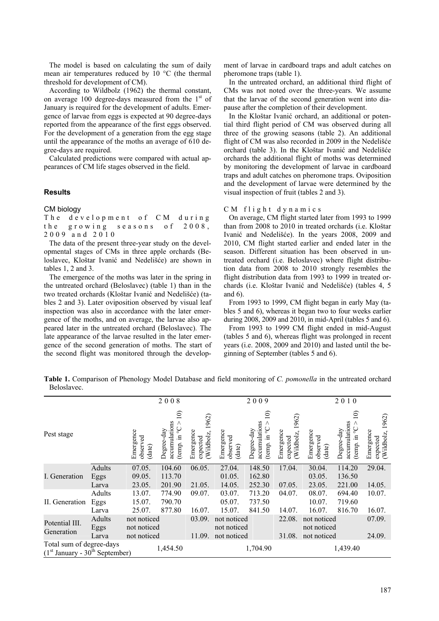The model is based on calculating the sum of daily mean air temperatures reduced by 10 °C (the thermal threshold for development of CM).

According to Wildbolz (1962) the thermal constant, on average 100 degree-days measured from the  $1<sup>st</sup>$  of January is required for the development of adults. Emergence of larvae from eggs is expected at 90 degree-days reported from the appearance of the first eggs observed. For the development of a generation from the egg stage until the appearance of the moths an average of 610 degree-days are required.

Calculated predictions were compared with actual appearances of CM life stages observed in the field.

## **Results**

CM biology

The development of CM during the growing seasons of 2008, 2009 and 2010

The data of the present three-year study on the developmental stages of CMs in three apple orchards (Beloslavec, Kloštar Ivanić and Nedelišće) are shown in tables 1, 2 and 3.

The emergence of the moths was later in the spring in the untreated orchard (Beloslavec) (table 1) than in the two treated orchards (Kloštar Ivanić and Nedelišće) (tables 2 and 3). Later oviposition observed by visual leaf inspection was also in accordance with the later emergence of the moths, and on average, the larvae also appeared later in the untreated orchard (Beloslavec). The late appearance of the larvae resulted in the later emergence of the second generation of moths. The start of the second flight was monitored through the development of larvae in cardboard traps and adult catches on pheromone traps (table 1).

In the untreated orchard, an additional third flight of CMs was not noted over the three-years. We assume that the larvae of the second generation went into diapause after the completion of their development.

In the Kloštar Ivanić orchard, an additional or potential third flight period of CM was observed during all three of the growing seasons (table 2). An additional flight of CM was also recorded in 2009 in the Nedelišće orchard (table 3). In the Kloštar Ivanić and Nedelišće orchards the additional flight of moths was determined by monitoring the development of larvae in cardboard traps and adult catches on pheromone traps. Oviposition and the development of larvae were determined by the visual inspection of fruit (tables 2 and 3).

#### CM flight dynamics

On average, CM flight started later from 1993 to 1999 than from 2008 to 2010 in treated orchards (i.e. Kloštar Ivanić and Nedelišće). In the years 2008, 2009 and 2010, CM flight started earlier and ended later in the season. Different situation has been observed in untreated orchard (i.e. Beloslavec) where flight distribution data from 2008 to 2010 strongly resembles the flight distribution data from 1993 to 1999 in treated orchards (i.e. Kloštar Ivanić and Nedelišće) (tables 4, 5 and 6).

From 1993 to 1999, CM flight began in early May (tables 5 and 6), whereas it began two to four weeks earlier during 2008, 2009 and 2010, in mid-April (tables 5 and 6).

From 1993 to 1999 CM flight ended in mid-August (tables 5 and 6), whereas flight was prolonged in recent years (i.e. 2008, 2009 and 2010) and lasted until the beginning of September (tables 5 and 6).

**Table 1.** Comparison of Phenology Model Database and field monitoring of *C. pomonella* in the untreated orchard Beloslavec.

|                                                              |                |                                 | 2008                                                                       |                                            |                                 | 2009                                                                    |                                             | 2010                            |                                                                                             |                                                |  |
|--------------------------------------------------------------|----------------|---------------------------------|----------------------------------------------------------------------------|--------------------------------------------|---------------------------------|-------------------------------------------------------------------------|---------------------------------------------|---------------------------------|---------------------------------------------------------------------------------------------|------------------------------------------------|--|
| Pest stage                                                   |                | Emergence<br>observed<br>(date) | $\widehat{=}$<br>accumulations<br>$\mathcal{S}$<br>Degree-day<br>(temp. in | 1962)<br>Emergence<br>Wildbolz<br>expected | Emergence<br>observed<br>(date) | $\widehat{=}$<br>accumulations<br>(temp. in $^{\circ}C$ ><br>Degree-day | 1962)<br>Emergence<br>Wildbolz,<br>expected | Emergence<br>observed<br>(date) | $\widehat{\Xi}$<br>accumulations<br>$\mathcal{S}^{\wedge}$<br>Degree-day<br>$\Xi$<br>(temp. | 1962)<br>Emergence<br>(Wildbolz,<br>$expected$ |  |
| I. Generation                                                | Adults<br>Eggs | 07.05.<br>09.05.                | 104.60<br>113.70                                                           | 06.05.                                     | 27.04.<br>01.05.                | 148.50<br>162.80                                                        | 17.04.                                      | 30.04.<br>03.05.                | 114.20<br>136.50                                                                            | 29.04.                                         |  |
|                                                              | Larva          | 23.05.                          | 201.90                                                                     | 21.05.                                     | 14.05.                          | 252.30                                                                  | 07.05.                                      | 23.05.                          | 221.00                                                                                      | 14.05.                                         |  |
| II. Generation                                               | Adults<br>Eggs | 13.07.<br>15.07.                | 774.90<br>790.70                                                           | 09.07.                                     | 03.07.<br>05.07.                | 713.20<br>737.50                                                        | 04.07.                                      | 08.07.<br>10.07.                | 694.40<br>719.60                                                                            | 10.07.                                         |  |
|                                                              | Larva          | 25.07.                          | 877.80                                                                     | 16.07.                                     | 15.07.                          | 841.50                                                                  | 14.07.                                      | 16.07.                          | 816.70                                                                                      | 16.07.                                         |  |
| Potential III.                                               | Adults<br>Eggs | not noticed<br>not noticed      |                                                                            | 03.09.                                     | not noticed<br>not noticed      |                                                                         | 22.08.                                      | not noticed<br>not noticed      |                                                                                             | 07.09.                                         |  |
| Generation                                                   | Larva          | not noticed                     |                                                                            | 11.09.                                     | not noticed                     |                                                                         | 31.08.                                      | not noticed                     |                                                                                             | 24.09.                                         |  |
| Total sum of degree-days<br>$(1st January - 30th September)$ | 1,454.50       | 1,704.90                        |                                                                            |                                            |                                 |                                                                         | 1,439.40                                    |                                 |                                                                                             |                                                |  |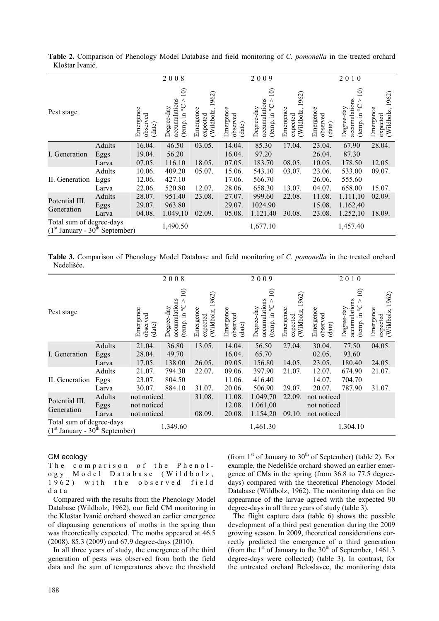|                                                              |                 |                                 | 2008                                                                    |                                             |                                 | 2009                                                                                |                                             | 2010                            |                                                                                 |                                             |  |
|--------------------------------------------------------------|-----------------|---------------------------------|-------------------------------------------------------------------------|---------------------------------------------|---------------------------------|-------------------------------------------------------------------------------------|---------------------------------------------|---------------------------------|---------------------------------------------------------------------------------|---------------------------------------------|--|
| Pest stage                                                   |                 | Emergence<br>observed<br>(date) | $\widehat{=}$<br>accumulations<br>(temp. in $^{\circ}C$ ><br>Degree-day | 1962)<br>Emergence<br>Wildbolz,<br>expected | Emergence<br>observed<br>(date) | $\widehat{=}$<br>accumulations<br>$\rm _{\circ}^{\circ}$<br>Degree-day<br>(temp. in | 1962)<br>Emergence<br>Wildbolz,<br>expected | Emergence<br>observed<br>(date) | $\widehat{=}$<br>accumulations<br>$\mathrm{C}_\circ$<br>Degree-day<br>(temp. in | 1962)<br>Emergence<br>Wildbolz,<br>expected |  |
| I. Generation                                                | Adults<br>Eggs  | 16.04.<br>19.04.                | 46.50<br>56.20                                                          | 03.05.                                      | 14.04.<br>16.04.                | 85.30<br>97.20                                                                      | 17.04.                                      | 23.04.<br>26.04.                | 67.90<br>87.30                                                                  | 28.04.                                      |  |
|                                                              | Larva           | 07.05.                          | 116.10                                                                  | 18.05.                                      | 07.05.                          | 183.70                                                                              | 08.05.                                      | 10.05.                          | 178.50                                                                          | 12.05.                                      |  |
| II. Generation                                               | Adults<br>Eggs  | 10.06.<br>12.06.                | 409.20<br>427.10                                                        | 05.07.                                      | 15.06.<br>17.06.                | 543.10<br>566.70                                                                    | 03.07.                                      | 23.06.<br>26.06.                | 533.00<br>555.60                                                                | 09.07.                                      |  |
| Potential III.                                               | Larva<br>Adults | 22.06.<br>28.07.                | 520.80<br>951.40                                                        | 12.07.<br>23.08.                            | 28.06.<br>27.07.                | 658.30<br>999.60                                                                    | 13.07.<br>22.08.                            | 04.07.<br>11.08.                | 658.00<br>1.111,10                                                              | 15.07.<br>02.09.                            |  |
| Generation                                                   | Eggs<br>Larva   | 29.07.<br>04.08.                | 963.80<br>1.049,10                                                      | 02.09.                                      | 29.07.<br>05.08.                | 1024.90<br>1.121,40                                                                 | 30.08.                                      | 15.08.<br>23.08.                | 1.162,40<br>1.252,10                                                            | 18.09.                                      |  |
| Total sum of degree-days<br>$(1st January - 30th September)$ |                 |                                 | 1,490.50                                                                |                                             |                                 | 1,677.10                                                                            |                                             |                                 | 1,457.40                                                                        |                                             |  |

**Table 2.** Comparison of Phenology Model Database and field monitoring of *C. pomonella* in the treated orchard Kloštar Ivanić.

**Table 3.** Comparison of Phenology Model Database and field monitoring of *C. pomonella* in the treated orchard Nedelišće.

|                                                              |                         |                                           | 2008                                                                              |                                              |                                 | 2009                                                                              |                                             |                                           | 2010                                                                                           |                                              |
|--------------------------------------------------------------|-------------------------|-------------------------------------------|-----------------------------------------------------------------------------------|----------------------------------------------|---------------------------------|-----------------------------------------------------------------------------------|---------------------------------------------|-------------------------------------------|------------------------------------------------------------------------------------------------|----------------------------------------------|
| Pest stage                                                   |                         | Emergence<br>observed<br>(date)           | $\overline{10}$<br>accumulations<br>Λ<br>$\rm _{\circ}$<br>Degree-day<br>temp. in | 1962)<br>Emergence<br>expected<br>(Wildbolz, | Emergence<br>observed<br>(date) | $\widehat{=}$<br>accumulations<br>Λ<br>$\mathop{\circ}$<br>Degree-day<br>temp. in | 1962)<br>Emergence<br>Wildbolz,<br>expected | Emergence<br>observed<br>(date)           | $\widehat{\circ}$<br>accumulations<br>$\mathrm{O}_\mathrm{o}$<br>Degree-day<br>$\Xi$<br>(temp. | 1962)<br>Emergence<br>expected<br>(Wildbolz, |
| I. Generation                                                | Adults<br>Eggs<br>Larva | 21.04.<br>28.04.<br>17.05.                | 36.80<br>49.70<br>138.00                                                          | 13.05.<br>26.05.                             | 14.04.<br>16.04.<br>09.05.      | 56.50<br>65.70<br>156.80                                                          | 27.04.<br>14.05.                            | 30.04.<br>02.05.<br>23.05.                | 77.50<br>93.60<br>180.40                                                                       | 04.05.<br>24.05.                             |
| II. Generation                                               | Adults<br>Eggs<br>Larva | 21.07.<br>23.07.<br>30.07.                | 794.30<br>804.50<br>884.10                                                        | 22.07.<br>31.07.                             | 09.06.<br>11.06.<br>20.06.      | 397.90<br>416.40<br>506.90                                                        | 21.07.<br>29.07.                            | 12.07.<br>14.07.<br>20.07.                | 674.90<br>704.70<br>787.90                                                                     | 21.07.<br>31.07.                             |
| Potential III.<br>Generation                                 | Adults<br>Eggs<br>Larva | not noticed<br>not noticed<br>not noticed |                                                                                   | 31.08.<br>08.09.                             | 11.08.<br>12.08.<br>20.08.      | 1.049,70<br>1.061,00<br>1.154,20                                                  | 22.09.<br>09.10.                            | not noticed<br>not noticed<br>not noticed |                                                                                                |                                              |
| Total sum of degree-days<br>$(1st January - 30th September)$ | 1,349.60                |                                           |                                                                                   | 1,461.30                                     |                                 |                                                                                   | 1,304.10                                    |                                           |                                                                                                |                                              |

# CM ecology

The comparison of the Phenology Model Database (Wildbolz, 1962) with the observed field data

Compared with the results from the Phenology Model Database (Wildbolz, 1962), our field CM monitoring in the Kloštar Ivanić orchard showed an earlier emergence of diapausing generations of moths in the spring than was theoretically expected. The moths appeared at 46.5 (2008), 85.3 (2009) and 67.9 degree-days (2010).

In all three years of study, the emergence of the third generation of pests was observed from both the field data and the sum of temperatures above the threshold (from  $1<sup>st</sup>$  of January to  $30<sup>th</sup>$  of September) (table 2). For example, the Nedelišće orchard showed an earlier emergence of CMs in the spring (from 36.8 to 77.5 degreedays) compared with the theoretical Phenology Model Database (Wildbolz, 1962). The monitoring data on the appearance of the larvae agreed with the expected 90 degree-days in all three years of study (table 3).

The flight capture data (table 6) shows the possible development of a third pest generation during the 2009 growing season. In 2009, theoretical considerations correctly predicted the emergence of a third generation (from the  $1<sup>st</sup>$  of January to the  $30<sup>th</sup>$  of September, 1461.3 degree-days were collected) (table 3). In contrast, for the untreated orchard Beloslavec, the monitoring data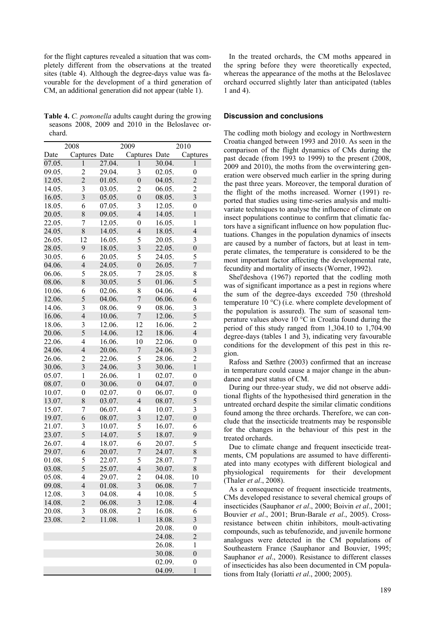for the flight captures revealed a situation that was completely different from the observations at the treated sites (table 4). Although the degree-days value was favourable for the development of a third generation of CM, an additional generation did not appear (table 1).

**Table 4.** *C. pomonella* adults caught during the growing seasons 2008, 2009 and 2010 in the Beloslavec orchard.

|        | 2008                    |        | 2009                    | 2010   |                         |  |  |
|--------|-------------------------|--------|-------------------------|--------|-------------------------|--|--|
| Date   | Captures                | Date   | Captures                | Date   | Captures                |  |  |
| 07.05. | 1                       | 27.04. | 1                       | 30.04. | 1                       |  |  |
| 09.05. | $\overline{\mathbf{c}}$ | 29.04. | 3                       | 02.05. | $\boldsymbol{0}$        |  |  |
| 12.05. | $\overline{2}$          | 01.05. | $\overline{0}$          | 04.05. | $\overline{2}$          |  |  |
| 14.05. | 3                       | 03.05. | 2                       | 06.05. | $\overline{2}$          |  |  |
| 16.05. | $\overline{3}$          | 05.05. | $\overline{0}$          | 08.05. | $\overline{3}$          |  |  |
| 18.05. | 6                       | 07.05. | 3                       | 12.05. | $\overline{0}$          |  |  |
| 20.05. | 8                       | 09.05. | $\overline{4}$          | 14.05. | $\mathbf{1}$            |  |  |
| 22.05. | $\overline{7}$          | 12.05. | $\boldsymbol{0}$        | 16.05. | 1                       |  |  |
| 24.05. | 8                       | 14.05. | $\overline{4}$          | 18.05. | $\overline{4}$          |  |  |
| 26.05. | 12                      | 16.05. | 5                       | 20.05. | 3                       |  |  |
| 28.05. | 9                       | 18.05. | $\overline{\mathbf{3}}$ | 22.05. | $\overline{0}$          |  |  |
| 30.05. | 6                       | 20.05. | 5                       | 24.05. | 5                       |  |  |
| 04.06. | $\overline{4}$          | 24.05. | $\boldsymbol{0}$        | 26.05. | 7                       |  |  |
| 06.06. | 5                       | 28.05. | 7                       | 28.05. | 8                       |  |  |
| 08.06. | 8                       | 30.05. | 5                       | 01.06. | 5                       |  |  |
| 10.06. | 6                       | 02.06. | 8                       | 04.06. | 4                       |  |  |
| 12.06. | 5                       | 04.06. | $\overline{7}$          | 06.06. | 6                       |  |  |
| 14.06. | 3                       | 08.06. | 9                       | 08.06. | 3                       |  |  |
| 16.06. | $\overline{4}$          | 10.06. | $\overline{7}$          | 12.06. | 5                       |  |  |
| 18.06. | 3                       | 12.06. | 12                      | 16.06. | $\overline{c}$          |  |  |
| 20.06. | 5                       | 14.06. | 12                      | 18.06. | $\overline{4}$          |  |  |
| 22.06. | $\overline{4}$          | 16.06. | 10                      | 22.06. | $\boldsymbol{0}$        |  |  |
| 24.06. | $\overline{4}$          | 20.06. | 7                       | 24.06. | 3                       |  |  |
| 26.06. | $\overline{c}$          | 22.06. | 5                       | 28.06. | $\overline{c}$          |  |  |
| 30.06. | $\overline{3}$          | 24.06. | $\overline{\mathbf{3}}$ | 30.06. | $\mathbf{1}$            |  |  |
| 05.07. | $\mathbf{1}$            | 26.06. | $\mathbf{1}$            | 02.07. | 0                       |  |  |
| 08.07. | $\overline{0}$          | 30.06. | $\overline{0}$          | 04.07. | $\overline{0}$          |  |  |
| 10.07. | $\boldsymbol{0}$        | 02.07. | $\boldsymbol{0}$        | 06.07. | 0                       |  |  |
| 13.07. | 8                       | 03.07. | $\overline{4}$          | 08.07. | 5                       |  |  |
| 15.07. | 7                       | 06.07. | $\overline{4}$          | 10.07. | 3                       |  |  |
| 19.07. | 6                       | 08.07. | $\overline{\mathbf{3}}$ | 12.07. | $\overline{0}$          |  |  |
| 21.07. | 3                       | 10.07. | 5                       | 16.07. | 6                       |  |  |
| 23.07. | 5                       | 14.07. | 5                       | 18.07. | 9                       |  |  |
| 26.07. | $\overline{4}$          | 18.07. | 6                       | 20.07. | 5                       |  |  |
| 29.07. | 6                       | 20.07. | 7                       | 24.07. | 8                       |  |  |
| 01.08. | 5                       | 22.07. | 5                       | 28.07. | 7                       |  |  |
| 03.08. | 5                       | 25.07. | $\overline{4}$          | 30.07. | 8                       |  |  |
| 05.08. | 4                       | 29.07. | $\overline{\mathbf{c}}$ | 04.08. | 10                      |  |  |
| 09.08. | $\overline{4}$          | 01.08. | $\overline{\mathbf{3}}$ | 06.08. | $\overline{7}$          |  |  |
| 12.08. | 3                       | 04.08. | 4                       | 10.08. | 5                       |  |  |
| 14.08. | $\overline{c}$          | 06.08. | $\overline{\mathbf{3}}$ | 12.08. | $\overline{4}$          |  |  |
| 20.08. | 3                       | 08.08. | $\overline{c}$          | 16.08. | 6                       |  |  |
| 23.08. | $\overline{2}$          | 11.08. | $\mathbf{1}$            | 18.08. | $\overline{\mathbf{3}}$ |  |  |
|        |                         |        |                         | 20.08. | $\boldsymbol{0}$        |  |  |
|        |                         |        |                         | 24.08. | $\overline{c}$          |  |  |
|        |                         |        |                         | 26.08. | $\mathbf{1}$            |  |  |
|        |                         |        |                         | 30.08. | $\overline{0}$          |  |  |
|        |                         |        |                         | 02.09. | $\boldsymbol{0}$        |  |  |
|        |                         |        |                         |        |                         |  |  |
|        |                         |        |                         | 04.09. | $\mathbf{1}$            |  |  |

In the treated orchards, the CM moths appeared in the spring before they were theoretically expected, whereas the appearance of the moths at the Beloslavec orchard occurred slightly later than anticipated (tables 1 and 4).

#### **Discussion and conclusions**

The codling moth biology and ecology in Northwestern Croatia changed between 1993 and 2010. As seen in the comparison of the flight dynamics of CMs during the past decade (from 1993 to 1999) to the present (2008, 2009 and 2010), the moths from the overwintering generation were observed much earlier in the spring during the past three years. Moreover, the temporal duration of the flight of the moths increased. Worner (1991) reported that studies using time-series analysis and multivariate techniques to analyse the influence of climate on insect populations continue to confirm that climatic factors have a significant influence on how population fluctuations. Changes in the population dynamics of insects are caused by a number of factors, but at least in temperate climates, the temperature is considered to be the most important factor affecting the developmental rate, fecundity and mortality of insects (Worner, 1992).

Shel'deshova (1967) reported that the codling moth was of significant importance as a pest in regions where the sum of the degree-days exceeded 750 (threshold temperature 10 °C) (i.e. where complete development of the population is assured). The sum of seasonal temperature values above 10 °C in Croatia found during the period of this study ranged from 1,304.10 to 1,704.90 degree-days (tables 1 and 3), indicating very favourable conditions for the development of this pest in this region.

Rafoss and Sæthre (2003) confirmed that an increase in temperature could cause a major change in the abundance and pest status of CM.

During our three-year study, we did not observe additional flights of the hypothesised third generation in the untreated orchard despite the similar climatic conditions found among the three orchards. Therefore, we can conclude that the insecticide treatments may be responsible for the changes in the behaviour of this pest in the treated orchards.

Due to climate change and frequent insecticide treatments, CM populations are assumed to have differentiated into many ecotypes with different biological and physiological requirements for their development (Thaler *et al*., 2008).

As a consequence of frequent insecticide treatments, CMs developed resistance to several chemical groups of insecticides (Sauphanor *et al*., 2000; Boivin *et al*., 2001; Bouvier *et al*., 2001; Brun-Barale *et al*., 2005). Crossresistance between chitin inhibitors, moult-activating compounds, such as tebufenozide, and juvenile hormone analogues were detected in the CM populations of Southeastern France (Sauphanor and Bouvier, 1995; Sauphanor *et al*., 2000). Resistance to different classes of insecticides has also been documented in CM populations from Italy (Ioriatti *et al*., 2000; 2005).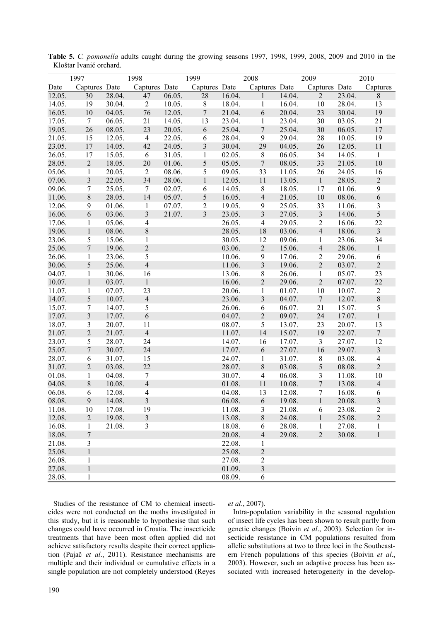|                  | 1997                    |                  | 1998                    |        | 1999           |                  | 2008                           |                  | 2009              |                  | 2010                         |
|------------------|-------------------------|------------------|-------------------------|--------|----------------|------------------|--------------------------------|------------------|-------------------|------------------|------------------------------|
| Date             | Captures Date           |                  | Captures Date           |        | Captures Date  |                  | Captures Date                  |                  | Captures Date     |                  | Captures                     |
| 12.05.           | 30                      | 28.04.           | 47                      | 06.05. | 28             | 16.04.           | $\mathbf{1}$                   | 14.04.           | $\overline{2}$    | 23.04.           | $8\,$                        |
| 14.05.           | 19                      | 30.04.           | $\overline{2}$          | 10.05. | $\,8\,$        | 18.04.           | $\mathbf{1}$                   | 16.04.           | 10                | 28.04.           | 13                           |
| 16.05.           | 10                      | 04.05.           | 76                      | 12.05. | $\overline{7}$ | 21.04.           | 6                              | 20.04.           | 23                | 30.04.           | 19                           |
| 17.05.           | $\overline{7}$          | 06.05.           | 21                      | 14.05. | 13             | 23.04.           | $\mathbf{1}$                   | 23.04.           | 30                | 03.05.           | 21                           |
| 19.05.           | 26                      | 08.05.           | 23                      | 20.05. | 6              | 25.04.           | 7                              | 25.04.           | 30                | 06.05.           | 17                           |
| 21.05.           | 15                      | 12.05.           | $\overline{4}$          | 22.05. | 6              | 28.04.           | 9                              | 29.04.           | 28                | 10.05.           | 19                           |
| 23.05.           | 17                      | 14.05.           | 42                      | 24.05. | $\mathfrak{Z}$ | 30.04.           | 29                             | 04.05.           | 26                | 12.05.           | 11                           |
| 26.05.           | 17                      | 15.05.           | 6                       | 31.05. | 1              | 02.05.           | $8\,$                          | 06.05.           | 34                | 14.05.           | $\mathbf{1}$                 |
| 28.05.           | $\overline{2}$          | 18.05.           | 20                      | 01.06. | 5              | 05.05.           | $\overline{7}$                 | 08.05.           | 33                | 21.05.           | 10                           |
| 05.06.           | 1                       | 20.05.           | $\overline{2}$          | 08.06. | 5              | 09.05.           | 33                             | 11.05.           | 26                | 24.05.           | 16                           |
| 07.06.           | $\overline{\mathbf{3}}$ | 22.05.           | 34                      | 28.06. | $\mathbf{1}$   | 12.05.           | 11                             | 13.05.           | $\mathbf{1}$      | 28.05.           | $\overline{2}$               |
| 09.06.           | $\tau$                  | 25.05.           | $\tau$                  | 02.07. | 6              | 14.05.           | $8\,$                          | 18.05.           | 17                | 01.06.           | 9                            |
| 11.06.           | $\,8\,$                 | 28.05.           | 14                      | 05.07. | 5              | 16.05.           | $\overline{4}$                 | 21.05.           | $10\,$            | 08.06.           | 6                            |
| 12.06.           | 9                       | 01.06.           | $\mathbf{1}$            | 07.07. | $\overline{2}$ | 19.05.           | 9                              | 25.05.           | 33                | 11.06.           | $\mathfrak{Z}$               |
| 16.06.           | 6                       | 03.06.           | $\overline{\mathbf{3}}$ | 21.07. | 3              | 23.05.           | $\mathfrak{Z}$                 | 27.05.           | $\overline{3}$    | 14.06.           | 5                            |
| 17.06.           | 1                       | 05.06.           | 4                       |        |                | 26.05.           | $\overline{4}$                 | 29.05.           | $\overline{2}$    | 16.06.           | 22                           |
| 19.06.           | $\mathbf{1}$            | 08.06.           | 8                       |        |                | 28.05.           | 18                             | 03.06.           | $\overline{4}$    | 18.06.           | $\overline{\mathbf{3}}$      |
| 23.06.           | 5                       | 15.06.           | $\mathbf{1}$            |        |                | 30.05.           | 12                             | 09.06.           | $\mathbf{1}$      | 23.06.           | 34                           |
| 25.06.           | $\overline{7}$          | 19.06.           | $\sqrt{2}$              |        |                | 03.06.           | $\overline{c}$                 | 15.06.           | $\overline{4}$    | 28.06.           | $\mathbf{1}$                 |
| 26.06.           | 1                       | 23.06.           | 5                       |        |                | 10.06.           | 9                              | 17.06.           | $\overline{2}$    | 29.06.           | 6                            |
| 30.06.           | 5                       | 25.06.           | $\overline{4}$          |        |                | 11.06.           | $\mathfrak{Z}$                 | 19.06.           | $\overline{2}$    | 03.07.           | $\overline{2}$               |
| 04.07.           | 1                       | 30.06.           | 16                      |        |                | 13.06.           | 8                              | 26.06.           | 1                 | 05.07.           | 23                           |
| 10.07.           | $\mathbf{1}$            | 03.07.           | $\mathbf{1}$            |        |                | 16.06.           | $\overline{2}$                 | 29.06.           | $\overline{2}$    | 07.07.           | 22                           |
| 11.07.           | 1                       | 07.07.           | 23                      |        |                | 20.06.           | $\mathbf{1}$                   | 01.07.           | 10                | 10.07.           | $\overline{c}$               |
| 14.07.           | 5                       | 10.07.           | $\overline{4}$          |        |                | 23.06.           | $\overline{\mathbf{3}}$        | 04.07.           | $\overline{7}$    | 12.07.           | $\,8$                        |
| 15.07.           | $\tau$                  | 14.07.           | 5                       |        |                | 26.06.           | 6                              | 06.07.           | 21                | 15.07.           | 5                            |
| 17.07.           | $\mathfrak{Z}$          | 17.07.           | 6                       |        |                | 04.07.           | $\sqrt{2}$                     | 09.07.           | 24                | 17.07.           | $\mathbf{1}$                 |
| 18.07.           | 3                       | 20.07.           | 11                      |        |                | 08.07.           | 5                              | 13.07.           | 23                | 20.07.           | 13                           |
| 21.07.           | $\overline{2}$          | 21.07.           | $\overline{4}$          |        |                | 11.07.           | 14                             | 15.07.           | 19                | 22.07.           | $\overline{7}$               |
| 23.07.           | 5                       | 28.07.           | 24                      |        |                | 14.07.           | 16                             | 17.07.           | $\overline{3}$    | 27.07.           | 12                           |
| 25.07.           | $\overline{7}$          | 30.07.           | 24                      |        |                | 17.07.           | 6                              | 27.07.           | 16                | 29.07.           | $\overline{3}$               |
| 28.07.           | 6                       | 31.07.           | 15                      |        |                | 24.07.           | $\mathbf{1}$                   | 31.07.           | $8\,$             | 03.08.           | $\overline{\mathbf{4}}$      |
| 31.07.           | $\overline{2}$          | 03.08.           | 22                      |        |                | 28.07.           | $8\,$                          | 03.08.           | 5                 | 08.08.           | $\overline{2}$               |
| 01.08.           | 1                       | 04.08.           | 7                       |        |                | 30.07.           | 4                              | 06.08.           | 3                 | 11.08.           | 10                           |
| 04.08.           | $\,$ 8 $\,$             | 10.08.           | $\overline{4}$          |        |                | 01.08.           | 11                             | 10.08.           | $\boldsymbol{7}$  | 13.08.           | $\overline{4}$               |
| 06.08.           | 6                       | 12.08.           | 4                       |        |                | 04.08.           | 13                             | 12.08.           | $\tau$            | 16.08.           | 6                            |
| 08.08.           | $\overline{9}$          | 14.08.           | $\overline{\mathbf{3}}$ |        |                | 06.08.           | 6                              | 19.08.           | $\mathbf{1}$      | 20.08.           | $\overline{\mathbf{3}}$      |
|                  | 10                      | 17.08.           | 19                      |        |                |                  |                                |                  |                   |                  | $\overline{c}$               |
| 11.08.           | $\overline{2}$          |                  | $\overline{3}$          |        |                | 11.08.<br>13.08. | 3                              | 21.08.<br>24.08. | 6                 | 23.08.<br>25.08. | $\overline{2}$               |
| 12.08.<br>16.08. | $\mathbf{1}$            | 19.08.<br>21.08. | 3                       |        |                | 18.08.           | $8\,$<br>6                     | 28.08.           | $\mathbf{1}$<br>1 | 27.08.           |                              |
|                  | 7                       |                  |                         |        |                |                  |                                | 29.08.           | $\overline{2}$    | 30.08.           | $\mathbf{1}$<br>$\mathbf{1}$ |
| 18.08.<br>21.08. | $\mathfrak{Z}$          |                  |                         |        |                | 20.08.<br>22.08. | $\overline{4}$                 |                  |                   |                  |                              |
| 25.08.           | $\mathbf{1}$            |                  |                         |        |                | 25.08.           | $\mathbf{1}$<br>$\overline{c}$ |                  |                   |                  |                              |
|                  |                         |                  |                         |        |                | 27.08.           | $\mathbf{2}$                   |                  |                   |                  |                              |
| 26.08.<br>27.08. | 1<br>$\mathbf{1}$       |                  |                         |        |                | 01.09.           | $\mathfrak{Z}$                 |                  |                   |                  |                              |
| 28.08.           | 1                       |                  |                         |        |                | 08.09.           | 6                              |                  |                   |                  |                              |
|                  |                         |                  |                         |        |                |                  |                                |                  |                   |                  |                              |

**Table 5.** *C. pomonella* adults caught during the growing seasons 1997, 1998, 1999, 2008, 2009 and 2010 in the Kloštar Ivanić orchard.

Studies of the resistance of CM to chemical insecticides were not conducted on the moths investigated in this study, but it is reasonable to hypothesise that such changes could have occurred in Croatia. The insecticide treatments that have been most often applied did not achieve satisfactory results despite their correct application (Pajač *et al*., 2011). Resistance mechanisms are multiple and their individual or cumulative effects in a single population are not completely understood (Reyes

### *et al*., 2007).

Intra-population variability in the seasonal regulation of insect life cycles has been shown to result partly from genetic changes (Boivin *et al*., 2003). Selection for insecticide resistance in CM populations resulted from allelic substitutions at two to three loci in the Southeastern French populations of this species (Boivin *et al*., 2003). However, such an adaptive process has been associated with increased heterogeneity in the develop-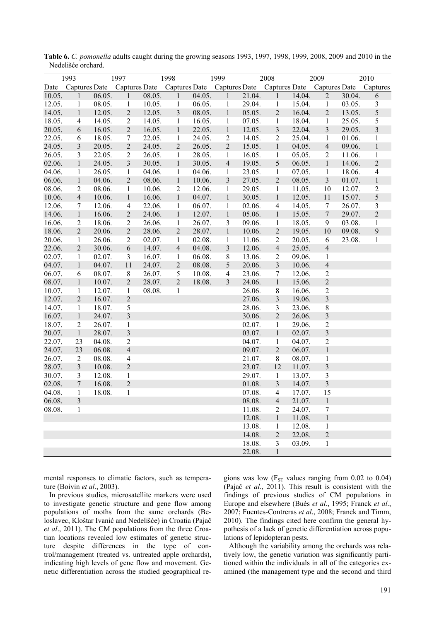| 1997<br>1993 |                         |        | 1998                    |        |                | 1999<br>2008         |                         |        |                         | 2009<br>2010 |                         |        |                         |
|--------------|-------------------------|--------|-------------------------|--------|----------------|----------------------|-------------------------|--------|-------------------------|--------------|-------------------------|--------|-------------------------|
| Date         | Captures Date           |        | <b>Captures Date</b>    |        |                | <b>Captures Date</b> | <b>Captures Date</b>    |        | <b>Captures Date</b>    |              | <b>Captures Date</b>    |        | Captures                |
| 10.05.       | 1                       | 06.05. | 1                       | 08.05. | 1              | 04.05.               | 1                       | 21.04. | 1                       | 14.04.       | $\overline{2}$          | 30.04. | 6                       |
| 12.05.       | $\mathbf{1}$            | 08.05. | $\mathbf{1}$            | 10.05. | $\mathbf{1}$   | 06.05.               | $\mathbf{1}$            | 29.04. | $\mathbf{1}$            | 15.04.       | $\mathbf{1}$            | 03.05. | 3                       |
| 14.05.       | $\mathbf{1}$            | 12.05. | $\sqrt{2}$              | 12.05. | $\mathfrak{Z}$ | 08.05.               | $\mathbf 1$             | 05.05. | $\sqrt{2}$              | 16.04.       | $\overline{2}$          | 13.05. | 5                       |
| 18.05.       | $\overline{4}$          | 14.05. | $\sqrt{2}$              | 14.05. | $\mathbf{1}$   | 16.05.               | $\mathbf{1}$            | 07.05. | $\mathbf{1}$            | 18.04.       | $\mathbf{1}$            | 25.05. | 5                       |
| 20.05.       | $\sqrt{6}$              | 16.05. | $\overline{2}$          | 16.05. | $\,1$          | 22.05.               | $\,1$                   | 12.05. | $\overline{\mathbf{3}}$ | 22.04.       | $\overline{\mathbf{3}}$ | 29.05. | $\overline{\mathbf{3}}$ |
| 22.05.       | 6                       | 18.05. | 7                       | 22.05. | $\mathbf{1}$   | 24.05.               | $\overline{2}$          | 14.05. | $\overline{2}$          | 25.04.       | 1                       | 01.06. | $\mathbf{1}$            |
| 24.05.       | $\overline{\mathbf{3}}$ | 20.05. | $\overline{2}$          | 24.05. | $\overline{2}$ | 26.05.               | $\overline{2}$          | 15.05. | $\mathbf{1}$            | 04.05.       | $\overline{4}$          | 09.06. | $\mathbf{1}$            |
| 26.05.       | 3                       | 22.05. | $\overline{2}$          | 26.05. | $\mathbf{1}$   | 28.05.               | $\mathbf{1}$            | 16.05. | $\mathbf{1}$            | 05.05.       | $\overline{2}$          | 11.06. | $\mathbf 1$             |
| 02.06.       | $\mathbf{1}$            | 24.05. | 3                       | 30.05. | $\mathbf{1}$   | 30.05.               | $\overline{4}$          | 19.05. | 5                       | 06.05.       | $\mathbf{1}$            | 14.06. | $\overline{2}$          |
| 04.06.       | $\mathbf{1}$            | 26.05. | $\mathbf{1}$            | 04.06. | $\mathbf{1}$   | 04.06.               | 1                       | 23.05. | $\mathbf{1}$            | 07.05.       | $\mathbf{1}$            | 18.06. | 4                       |
| 06.06.       | $\mathbf{1}$            | 04.06. | $\mathbf{2}$            | 08.06. | $\mathbf{1}$   | 10.06.               | 3                       | 27.05. | $\overline{2}$          | 08.05.       | $\overline{3}$          | 01.07. | $\mathbf{1}$            |
| 08.06.       | $\overline{2}$          | 08.06. | $\mathbf{1}$            | 10.06. | $\sqrt{2}$     | 12.06.               | $\mathbf{1}$            | 29.05. | $\mathbf{1}$            | 11.05.       | 10                      | 12.07. | $\sqrt{2}$              |
| 10.06.       | $\overline{4}$          | 10.06. | $\mathbf{1}$            | 16.06. | $\mathbf{1}$   | 04.07.               | $\mathbf{1}$            | 30.05. | $\mathbf{1}$            | 12.05.       | 11                      | 15.07. | 5                       |
| 12.06.       | 7                       | 12.06. | $\overline{4}$          | 22.06. | $\mathbf{1}$   | 06.07.               | $\mathbf{1}$            | 02.06. | $\overline{\mathbf{4}}$ | 14.05.       | $\tau$                  | 26.07. | $\overline{\mathbf{3}}$ |
| 14.06.       | $\mathbf{1}$            | 16.06. | $\sqrt{2}$              | 24.06. | $\mathbf{1}$   | 12.07.               | $\mathbf 1$             | 05.06. | $\mathbf{1}$            | 15.05.       | $\tau$                  | 29.07. | $\sqrt{2}$              |
| 16.06.       | $\sqrt{2}$              | 18.06. | $\sqrt{2}$              | 26.06. | $\mathbf{1}$   | 26.07.               | 3                       | 09.06. | $\mathbf{1}$            | 18.05.       | 9                       | 03.08. | $\,1\,$                 |
| 18.06.       | $\overline{2}$          | 20.06. | $\overline{2}$          | 28.06. | $\overline{2}$ | 28.07.               | $\,1$                   | 10.06. | $\overline{2}$          | 19.05.       | 10                      | 09.08. | 9                       |
| 20.06.       | $\mathbf{1}$            | 26.06. | $\overline{2}$          | 02.07. | $\mathbf{1}$   | 02.08.               | $\mathbf{1}$            | 11.06. | $\sqrt{2}$              | 20.05.       | 6                       | 23.08. | 1                       |
| 22.06.       | $\overline{2}$          | 30.06. | 6                       | 14.07. | $\overline{4}$ | 04.08.               | $\overline{\mathbf{3}}$ | 12.06. | $\overline{4}$          | 25.05.       | $\overline{4}$          |        |                         |
| 02.07.       | $\mathbf{1}$            | 02.07. | $\overline{3}$          | 16.07. | $\mathbf{1}$   | 06.08.               | 8                       | 13.06. | $\overline{2}$          | 09.06.       | $\mathbf{1}$            |        |                         |
| 04.07.       | $\mathbf{1}$            | 04.07. | 11                      | 24.07. | $\overline{2}$ | 08.08.               | 5                       | 20.06. | $\mathfrak{Z}$          | 10.06.       | $\overline{4}$          |        |                         |
| 06.07.       | 6                       | 08.07. | $\,$ 8 $\,$             | 26.07. | 5              | 10.08.               | $\overline{4}$          | 23.06. | $\tau$                  | 12.06.       | $\overline{c}$          |        |                         |
| 08.07.       | $\mathbf{1}$            | 10.07. | $\overline{2}$          | 28.07. | $\overline{2}$ | 18.08.               | 3                       | 24.06. | $\,1$                   | 15.06.       | $\overline{c}$          |        |                         |
| 10.07.       | $\mathbf{1}$            | 12.07. | $\mathbf{1}$            | 08.08. | 1              |                      |                         | 26.06. | $8\,$                   | 16.06.       | $\overline{c}$          |        |                         |
| 12.07.       | $\overline{2}$          | 16.07. | $\sqrt{2}$              |        |                |                      |                         | 27.06. | $\overline{\mathbf{3}}$ | 19.06.       | $\overline{\mathbf{3}}$ |        |                         |
| 14.07.       | $\mathbf{1}$            | 18.07. | 5                       |        |                |                      |                         | 28.06. | $\overline{3}$          | 23.06.       | 8                       |        |                         |
| 16.07.       | $\mathbf{1}$            | 24.07. | $\overline{\mathbf{3}}$ |        |                |                      |                         | 30.06. | $\overline{2}$          | 26.06.       | $\overline{\mathbf{3}}$ |        |                         |
| 18.07.       | $\boldsymbol{2}$        | 26.07. | $\mathbf{1}$            |        |                |                      |                         | 02.07. | $\mathbf{1}$            | 29.06.       | $\overline{2}$          |        |                         |
| 20.07.       | $\mathbf{1}$            | 28.07. | $\overline{\mathbf{3}}$ |        |                |                      |                         | 03.07. | $\,1$                   | 02.07.       | $\overline{\mathbf{3}}$ |        |                         |
| 22.07.       | 23                      | 04.08. | $\overline{c}$          |        |                |                      |                         | 04.07. | $\mathbf{1}$            | 04.07.       | $\overline{2}$          |        |                         |
| 24.07.       | 23                      | 06.08. | $\overline{4}$          |        |                |                      |                         | 09.07. | $\overline{2}$          | 06.07.       | $\mathbf{1}$            |        |                         |
| 26.07.       | $\overline{2}$          | 08.08. | $\overline{4}$          |        |                |                      |                         | 21.07. | $8\,$                   | 08.07.       | $\mathbf{1}$            |        |                         |
| 28.07.       | $\overline{3}$          | 10.08. | $\sqrt{2}$              |        |                |                      |                         | 23.07. | 12                      | 11.07.       | $\overline{\mathbf{3}}$ |        |                         |
| 30.07.       | 3                       | 12.08. | $\mathbf{1}$            |        |                |                      |                         | 29.07. | $\mathbf{1}$            | 13.07.       | 3                       |        |                         |
| 02.08.       | $\overline{7}$          | 16.08. | $\overline{2}$          |        |                |                      |                         | 01.08. | $\mathfrak{Z}$          | 14.07.       | $\overline{\mathbf{3}}$ |        |                         |
| 04.08.       | $\mathbf{1}$            | 18.08. | 1                       |        |                |                      |                         | 07.08. | $\overline{4}$          | 17.07.       | 15                      |        |                         |
| 06.08.       | 3                       |        |                         |        |                |                      |                         | 08.08. | 4                       | 21.07.       | $\mathbf{I}$            |        |                         |
| 08.08.       | 1                       |        |                         |        |                |                      |                         | 11.08. | $\overline{c}$          | 24.07.       | 7                       |        |                         |
|              |                         |        |                         |        |                |                      |                         | 12.08. | $\,1$                   | 11.08.       | $\mathbf{1}$            |        |                         |
|              |                         |        |                         |        |                |                      |                         | 13.08. | $\mathbf{1}$            | 12.08.       | 1                       |        |                         |
|              |                         |        |                         |        |                |                      |                         | 14.08. | $\sqrt{2}$              | 22.08.       | $\overline{c}$          |        |                         |
|              |                         |        |                         |        |                |                      |                         | 18.08. | $\mathfrak{Z}$          | 03.09.       | 1                       |        |                         |
|              |                         |        |                         |        |                |                      |                         | 22.08. | $\mathbf{1}$            |              |                         |        |                         |

**Table 6.** *C. pomonella* adults caught during the growing seasons 1993, 1997, 1998, 1999, 2008, 2009 and 2010 in the Nedelišće orchard.

mental responses to climatic factors, such as temperature (Boivin *et al*., 2003).

In previous studies, microsatellite markers were used to investigate genetic structure and gene flow among populations of moths from the same orchards (Beloslavec, Kloštar Ivanić and Nedelišće) in Croatia (Pajač *et al*., 2011). The CM populations from the three Croatian locations revealed low estimates of genetic structure despite differences in the type of control/management (treated vs. untreated apple orchards), indicating high levels of gene flow and movement. Genetic differentiation across the studied geographical regions was low  $(F_{ST}$  values ranging from 0.02 to 0.04) (Pajač *et al*., 2011). This result is consistent with the findings of previous studies of CM populations in Europe and elsewhere (Buès *et al*., 1995; Franck *et al*., 2007; Fuentes-Contreras *et al*., 2008; Franck and Timm, 2010). The findings cited here confirm the general hypothesis of a lack of genetic differentiation across populations of lepidopteran pests.

Although the variability among the orchards was relatively low, the genetic variation was significantly partitioned within the individuals in all of the categories examined (the management type and the second and third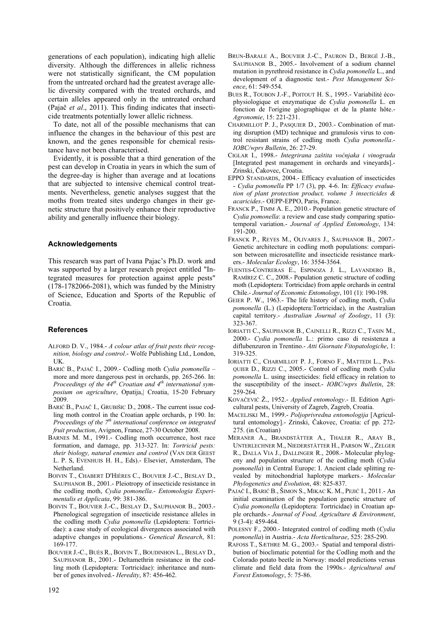generations of each population), indicating high allelic diversity. Although the differences in allelic richness were not statistically significant, the CM population from the untreated orchard had the greatest average allelic diversity compared with the treated orchards, and certain alleles appeared only in the untreated orchard (Pajač *et al*., 2011). This finding indicates that insecticide treatments potentially lower allelic richness.

To date, not all of the possible mechanisms that can influence the changes in the behaviour of this pest are known, and the genes responsible for chemical resistance have not been characterised.

Evidently, it is possible that a third generation of the pest can develop in Croatia in years in which the sum of the degree-day is higher than average and at locations that are subjected to intensive chemical control treatments. Nevertheless, genetic analyses suggest that the moths from treated sites undergo changes in their genetic structure that positively enhance their reproductive ability and generally influence their biology.

#### **Acknowledgements**

This research was part of Ivana Pajac's Ph.D. work and was supported by a larger research project entitled "Integrated measures for protection against apple pests" (178-1782066-2081), which was funded by the Ministry of Science, Education and Sports of the Republic of Croatia.

#### **References**

- ALFORD D. V., 1984.- *A colour atlas of fruit pests their recognition, biology and control*.- Wolfe Publishing Ltd., London, UK.
- BARIĆ B., PAJAČ I., 2009.- Codling moth *Cydia pomonella*  more and more dangerous pest in orchards, pp. 265-266. In: *Proceedings of the 44<sup>th</sup> Croatian and 4<sup>th</sup> international symposium on agriculture*, Opatija,| Croatia, 15-20 February 2009.
- BARIĆ B., PAJAČ I., GRUBIŠIC D., 2008.- The current issue codling moth control in the Croatian apple orchards, p 190. In: *Proceedings of the*  $7<sup>th</sup>$  *international conference on integrated fruit production*, Avignon, France, 27-30 October 2008.
- BARNES M. M., 1991.- Codling moth occurrence, host race formation, and damage, pp. 313-327. In: *Tortricid pests: their biology, natural enemies and control* (VAN DER GEEST L. P. S, EVENHUIS H. H., Eds).- Elsevier, Amsterdam, The Netherland.
- BOIVIN T., CHABERT D'HIÈRES C., BOUVIER J.-C., BESLAY D., SAUPHANOR B., 2001.- Pleiotropy of insecticide resistance in the codling moth, *Cydia pomonella*.- *Entomologia Experimentalis et Applicata*, 99: 381-386.
- BOIVIN T., BOUVIER J.-C., BESLAY D., SAUPHANOR B., 2003.- Phenological segregation of insecticide resistance alleles in the codling moth *Cydia pomonella* (Lepidoptera: Tortricidae): a case study of ecological divergences associated with adaptive changes in populations.- *Genetical Research*, 81: 169-177.
- BOUVIER J.-C., BUÈS R., BOIVIN T., BOUDINHON L., BESLAY D., SAUPHANOR B., 2001.- Deltamethrin resistance in the codling moth (Lepidoptera: Tortricidae): inheritance and number of genes involved.- *Heredity*, 87: 456-462.
- BRUN-BARALE A., BOUVIER J.-C., PAURON D., BERGÉ J.-B., SAUPHANOR B., 2005.- Involvement of a sodium channel mutation in pyrethroid resistance in *Cydia pomonella* L., and development of a diagnostic test.- *Pest Management Science*, 61: 549-554.
- BUES R., TOUBON J.-F., POITOUT H. S., 1995.- Variabilité écophysiologique et enzymatique de *Cydia pomonella* L. en fonction de l'origine géographique et de la plante hôte.- *Agronomie*, 15: 221-231.
- CHARMILLOT P. J., PASQUIER D., 2003.- Combination of mating disruption (MD) technique and granulosis virus to control resistant strains of codling moth *Cydia pomonella*.- *IOBC/wprs Bulletin*, 26: 27-29.
- CIGLAR I., 1998.- *Integrirana zaštita voćnjaka i vinograda* [Integrated pest management in orchards and vineyards].- Zrinski, Čakovec, Croatia.
- EPPO STANDARDS, 2004.- Efficacy evaluation of insecticides - *Cydia pomonella* PP 1/7 (3), pp. 4-6. In: *Efficacy evaluation of plant protection product, volume 3 insecticides & acaricides*.- OEPP-EPPO, Paris, France.
- FRANCK P., TIMM A. E., 2010.- Population genetic structure of *Cydia pomonella*: a review and case study comparing spatiotemporal variation.- *Journal of Applied Entomology*, 134: 191-200.
- FRANCK P., REYES M., OLIVARES J., SAUPHANOR B., 2007.- Genetic architecture in codling moth populations: comparison between microsatellite and insecticide resistance markers.- *Molecular Ecology*, 16: 3554-3564.
- FUENTES-CONTRERAS E., ESPINOZA J. L., LAVANDERO B., RAMÍREZ C. C., 2008.- Population genetic structure of codling moth (Lepidoptera: Tortricidae) from apple orchards in central Chile.- *Journal of Economic Entomology*, 101 (1): 190-198.
- GEIER P. W., 1963.- The life history of codling moth, *Cydia pomonella* (L.) (Lepidoptera:Tortricidae), in the Australian capital territory.- *Australian Journal of Zoology*, 11 (3): 323-367.
- IORIATTI C., SAUPHANOR B., CAINELLI R., RIZZI C., TASIN M., 2000.- *Cydia pomonella* L.: primo caso di resistenza a diflubenzuron in Trentino.- *Atti Giornate Fitopatologiche*, 1: 319-325.
- IORIATTI C., CHARMILLOT P. J., FORNO F., MATTEDI L., PAS-QUIER D., RIZZI C., 2005.- Control of codling moth *Cydia pomonella* L. using insecticides: field efficacy in relation to the susceptibility of the insect.- *IOBC/wprs Bulletin*, 28: 259-264.
- KOVAČEVIĆ Ž., 1952.- *Applied entomology*.- II. Edition Agricultural pests, University of Zagreb, Zagreb, Croatia.
- MACELJSKI M., 1999.- *Poljoprivredna entomologija* [Agricultural entomology].- Zrinski, Čakovec, Croatia: cf pp. 272- 275. (in Croatian)
- MERANER A., BRANDSTÄTTER A., THALER R., ARAY B., UNTERLECHNER M., NIEDERSTÄTTER H., PARSON W., ZELGER R., DALLA VIA J., DALLINGER R., 2008.- Molecular phylogeny and population structure of the codling moth (*Cydia pomonella*) in Central Europe: I. Ancient clade splitting revealed by mitochondrial haplotype markers.- *Molecular Phylogenetics and Evolution*, 48: 825-837.
- PAJAČ I., BARIĆ B., ŠIMON S., MIKAC K. M., PEJIĆ I., 2011.- An initial examination of the population genetic structure of *Cydia pomonella* (Lepidoptera: Tortricidae) in Croatian apple orchards.- *Journal of Food, Agriculture & Environment*, 9 (3-4): 459-464.
- POLESNY F., 2000.- Integrated control of codling moth (*Cydia pomonella*) in Austria.- *Acta Horticulturae*, 525: 285-290.
- RAFOSS T., SÆTHRE M. G., 2003.- Spatial and temporal distribution of bioclimatic potential for the Codling moth and the Colorado potato beetle in Norway: model predictions versus climate and field data from the 1990s.- *Agricultural and Forest Entomology*, 5: 75-86.